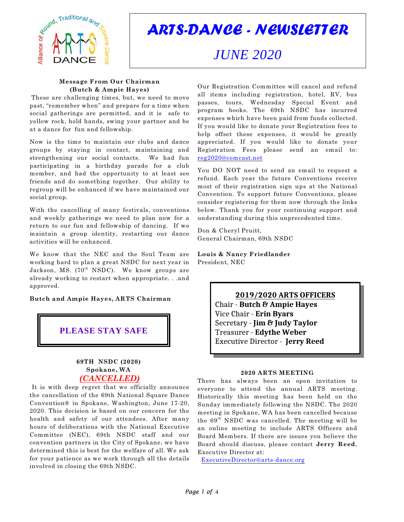

*ARTS-DANCE - NEWSLETTER*

# *JUNE 2020*

## **Message From Our Chairman (Butch & Ampie Hayes)**

These are challenging times, but, we need to move past, "remember when" and prepare for a time when social gatherings are permitted, and it is safe to yellow rock, hold hands, swing your partner and be at a dance for fun and fellowship.

Now is the time to maintain our clubs and dance groups by staying in contact, maintaining and strengthening our social contacts. We had fun participating in a birthday parade for a club member, and had the opportunity to at least see friends and do something together. Our ability to regroup will be enhanced if we have maintained our social group.

With the cancelling of many festivals, conventions and weekly gatherings we need to plan now for a return to our fun and fellowship of dancing. If we maintain a group identity, restarting our dance activities will be enhanced.

We know that the NEC and the Soul Team are working hard to plan a great NSDC for next year in Jackson, MS. (70th NSDC). We know groups are already working to restart when appropriate. . .and approved.

**Butch and Ampie Hayes, ARTS Chairman**

**PLEASE STAY SAFE**

# **69TH NSDC (2020) Spokane, WA**  *(CANCELLED)*

It is with deep regret that we officially announce the cancellation of the 69th National Square Dance Convention® in Spokane, Washington, June 17-20, 2020. This decision is based on our concern for the health and safety of our attendees. After many hours of deliberations with the National Executive Committee (NEC), 69th NSDC staff and our convention partners in the City of Spokane, we have determined this is best for the welfare of all. We ask for your patience as we work through all the details involved in closing the 69th NSDC.

Our Registration Committee will cancel and refund all items including registration, hotel, RV, bus passes, tours, Wednesday Special Event and program books. The 69th NSDC has incurred expenses which have been paid from funds collected. If you would like to donate your Registration fees to help offset these expenses, it would be greatly appreciated. If you would like to donate your Registration Fees please send an email to: [reg2020@comcast.net](mailto:reg2020@comcast.net)

You DO NOT need to send an email to request a refund. Each year the future Conventions receive most of their registration sign ups at the National Convention. To support future Conventions, please consider registering for them now through the links below. Thank you for your continuing support and understanding during this unprecedented time.

Don & Cheryl Pruitt, General Chairman, 69th NSDC

**Louis & Nancy Friedlander** President, NEC

> **2019/2020 ARTS OFFICERS** Chair - **Butch & Ampie Hayes** Vice Chair - **Erin Byars** Secretary - **Jim & Judy Taylor** Treasurer - **Edythe Weber** Executive Director - **Jerry Reed**

## **2020 ARTS MEETING**

There has always been an open invitation to everyone to attend the annual ARTS meeting. Historically this meeting has been held on the Sunday immediately following the NSDC. The 2020 meeting in Spokane, WA has been cancelled because the  $69<sup>th</sup>$  NSDC was cancelled. The meeting will be an online meeting to include ARTS Officers and Board Members. If there are issues you believe the Board should discuss, please contact **Jerry Reed**, Executive Director at:

[ExecutiveDirector@arts-dance.org](mailto:ExecutiveDirector@arts-dance.org)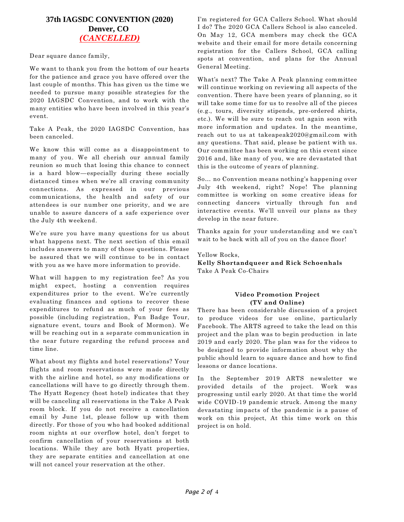# **37th IAGSDC CONVENTION (2020) Denver, CO**  *(CANCELLED)*

Dear square dance family,

We want to thank you from the bottom of our hearts for the patience and grace you have offered over the last couple of months. This has given us the time we needed to pursue many possible strategies for the 2020 IAGSDC Convention, and to work with the many entities who have been involved in this year's event.

Take A Peak, the 2020 IAGSDC Convention, has been canceled.

We know this will come as a disappointment to many of you. We all cherish our annual family reunion so much that losing this chance to connect is a hard blow—especially during these socially distanced times when we're all craving community connections. As expressed in our previous communications, the health and safety of our attendees is our number one priority, and we are unable to assure dancers of a safe experience over the July 4th weekend.

We're sure you have many questions for us about what happens next. The next section of this email includes answers to many of those questions. Please be assured that we will continue to be in contact with you as we have more information to provide.

What will happen to my registration fee? As you might expect, hosting a convention requires expenditures prior to the event. We're currently evaluating finances and options to recover these expenditures to refund as much of your fees as possible (including registration, Fun Badge Tour, signature event, tours and Book of Mormon). We will be reaching out in a separate communication in the near future regarding the refund process and time line.

What about my flights and hotel reservations? Your flights and room reservations were made directly with the airline and hotel, so any modifications or cancellations will have to go directly through them. The Hyatt Regency (host hotel) indicates that they will be canceling all reservations in the Take A Peak room block. If you do not receive a cancellation email by June 1st, please follow up with them directly. For those of you who had booked additional room nights at our overflow hotel, don't forget to confirm cancellation of your reservations at both locations. While they are both Hyatt properties, they are separate entities and cancellation at one will not cancel your reservation at the other.

I'm registered for GCA Callers School. What should I do? The 2020 GCA Callers School is also canceled. On May 12, GCA members may check the GCA website and their email for more details concerning registration for the Callers School, GCA calling spots at convention, and plans for the Annual General Meeting.

What's next? The Take A Peak planning committee will continue working on reviewing all aspects of the convention. There have been years of planning, so it will take some time for us to resolve all of the pieces (e.g., tours, diversity stipends, pre-ordered shirts, etc.). We will be sure to reach out again soon with more information and updates. In the meantime, reach out to us at takeapeak2020@gmail.com with any questions. That said, please be patient with us. Our committee has been working on this event since 2016 and, like many of you, we are devastated that this is the outcome of years of planning.

So… no Convention means nothing's happening over July 4th weekend, right? Nope! The planning committee is working on some creative ideas for connecting dancers virtually through fun and interactive events. We'll unveil our plans as they develop in the near future.

Thanks again for your understanding and we can't wait to be back with all of you on the dance floor!

Yellow Rocks,

**Kelly Shortandqueer and Rick Schoenhals** Take A Peak Co-Chairs

## **Video Promotion Project (TV and Online)**

There has been considerable discussion of a project to produce videos for use online, particularly Facebook. The ARTS agreed to take the lead on this project and the plan was to begin production in late 2019 and early 2020. The plan was for the videos to be designed to provide information about why the public should learn to square dance and how to find lessons or dance locations.

In the September 2019 ARTS newsletter we provided details of the project. Work was progressing until early 2020. At that time the world wide COVID-19 pandemic struck. Among the many devastating impacts of the pandemic is a pause of work on this project, At this time work on this project is on hold.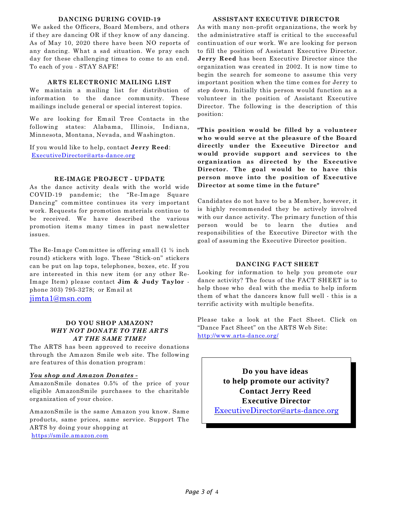#### **DANCING DURING COVID-19**

We asked the Officers, Board Members, and others if they are dancing OR if they know of any dancing. As of May 10, 2020 there have been NO reports of any dancing. What a sad situation. We pray each day for these challenging times to come to an end. To each of you - STAY SAFE!

## **ARTS ELECTRONIC MAILING LIST**

We maintain a mailing list for distribution of information to the dance community. These mailings include general or special interest topics.

We are looking for Email Tree Contacts in the following states: Alabama, Illinois, Indiana, Minnesota, Montana, Nevada, and Washington.

If you would like to help, contact **Jerry Reed**: [ExecutiveDirector@arts-dance.org](mailto:ExecutiveDirector@arts-dance.org)

## **RE-IMAGE PROJECT - UPDATE**

As the dance activity deals with the world wide COVID-19 pandemic; the "Re-Image Square Dancing" committee continues its very important work. Requests for promotion materials continue to be received. We have described the various promotion items many times in past newsletter issues.

The Re-Image Committee is offering small (1 ½ inch round) stickers with logo. These "Stick-on" stickers can be put on lap tops, telephones, boxes, etc. If you are interested in this new item (or any other Re-Image Item) please contact **Jim & Judy Taylor**  phone 303) 795-3278; or Email at

[jimta1@msn.com](mailto:jimta1@msn.com)

## **DO YOU SHOP AMAZON?** *WHY NOT DONATE TO THE ARTS AT THE SAME TIME?*

The ARTS has been approved to receive donations through the Amazon Smile web site. The following are features of this donation program:

## *You shop and Amazon Donates -*

AmazonSmile donates 0.5% of the price of your eligible AmazonSmile purchases to the charitable organization of your choice.

AmazonSmile is the same Amazon you know. Same products, same prices, same service. Support The ARTS by doing your shopping at <https://smile.amazon.com>

#### **ASSISTANT EXECUTIVE DIRECTOR**

As with many non-profit organizations, the work by the administrative staff is critical to the successful continuation of our work. We are looking for person to fill the position of Assistant Executive Director. **Jerry Reed** has been Executive Director since the organization was created in 2002. It is now time to begin the search for someone to assume this very important position when the time comes for Jerry to step down. Initially this person would function as a volunteer in the position of Assistant Executive Director. The following is the description of this position:

**"This position would be filled by a volunteer who would serve at the pleasure of the Board directly under the Executive Director and would provide support and services to the organization as directed by the Executive Director. The goal would be to have this person move into the position of Executive Director at some time in the future"**

Candidates do not have to be a Member, however, it is highly recommended they be actively involved with our dance activity. The primary function of this person would be to learn the duties and responsibilities of the Executive Director with the goal of assuming the Executive Director position.

## **DANCING FACT SHEET**

Looking for information to help you promote our dance activity? The focus of the FACT SHEET is to help those who deal with the media to help inform them of what the dancers know full well - this is a terrific activity with multiple benefits.

Please take a look at the Fact Sheet. Click on "Dance Fact Sheet" on the ARTS Web Site: <http://www.arts-dance.org/>

> **Do you have ideas to help promote our activity? Contact Jerry Reed Executive Director** [ExecutiveDirector@arts-dance.org](mailto:ExecutiveDirector@arts-dance.org)